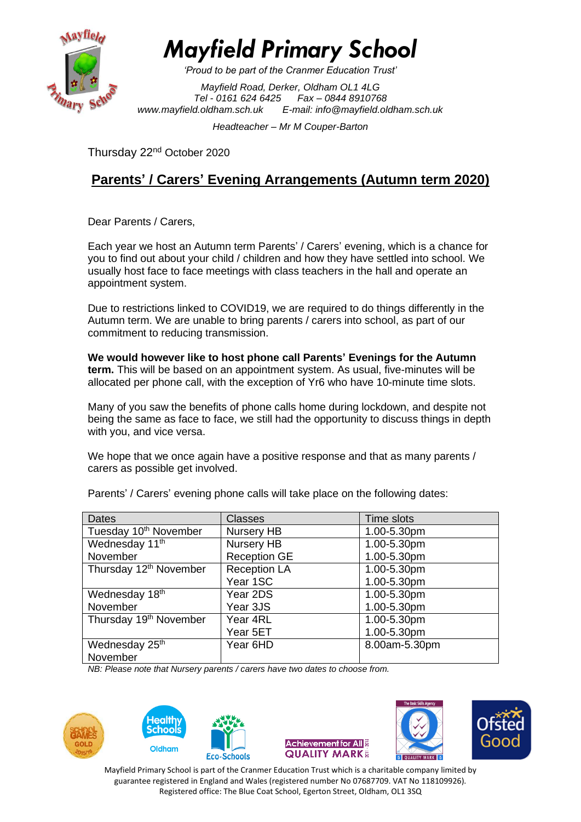

*Mayfield Primary School*

*'Proud to be part of the Cranmer Education Trust'*

*Mayfield Road, Derker, Oldham OL1 4LG Tel - 0161 624 6425 Fax – 0844 8910768 [www.mayfield.oldham.sch.uk](http://www.mayfield.oldham.sch.uk/) E-mail: [info@mayfield.oldham.sch.uk](mailto:info@mayfield.oldham.sch.uk)*

*Headteacher – Mr M Couper-Barton* 

Thursday 22nd October 2020

# **Parents' / Carers' Evening Arrangements (Autumn term 2020)**

Dear Parents / Carers,

Each year we host an Autumn term Parents' / Carers' evening, which is a chance for you to find out about your child / children and how they have settled into school. We usually host face to face meetings with class teachers in the hall and operate an appointment system.

Due to restrictions linked to COVID19, we are required to do things differently in the Autumn term. We are unable to bring parents / carers into school, as part of our commitment to reducing transmission.

**We would however like to host phone call Parents' Evenings for the Autumn term.** This will be based on an appointment system. As usual, five-minutes will be allocated per phone call, with the exception of Yr6 who have 10-minute time slots.

Many of you saw the benefits of phone calls home during lockdown, and despite not being the same as face to face, we still had the opportunity to discuss things in depth with you, and vice versa.

We hope that we once again have a positive response and that as many parents / carers as possible get involved.

| <b>Dates</b>                       | <b>Classes</b>      | Time slots    |  |  |
|------------------------------------|---------------------|---------------|--|--|
| Tuesday 10th November              | Nursery HB          | 1.00-5.30pm   |  |  |
| Wednesday 11th                     | Nursery HB          | 1.00-5.30pm   |  |  |
| November                           | <b>Reception GE</b> | 1.00-5.30pm   |  |  |
| Thursday 12 <sup>th</sup> November | <b>Reception LA</b> | 1.00-5.30pm   |  |  |
|                                    | Year 1SC            | 1.00-5.30pm   |  |  |
| Wednesday 18th                     | Year 2DS            | 1.00-5.30pm   |  |  |
| November                           | Year 3JS            | 1.00-5.30pm   |  |  |
| Thursday 19 <sup>th</sup> November | Year 4RL            | 1.00-5.30pm   |  |  |
|                                    | Year 5ET            | 1.00-5.30pm   |  |  |
| Wednesday 25th                     | Year 6HD            | 8.00am-5.30pm |  |  |
| November                           |                     |               |  |  |

Parents' / Carers' evening phone calls will take place on the following dates:

*NB: Please note that Nursery parents / carers have two dates to choose from.*











Mayfield Primary School is part of the Cranmer Education Trust which is a charitable company limited by guarantee registered in England and Wales (registered number No 07687709. VAT No 118109926). Registered office: The Blue Coat School, Egerton Street, Oldham, OL1 3SQ